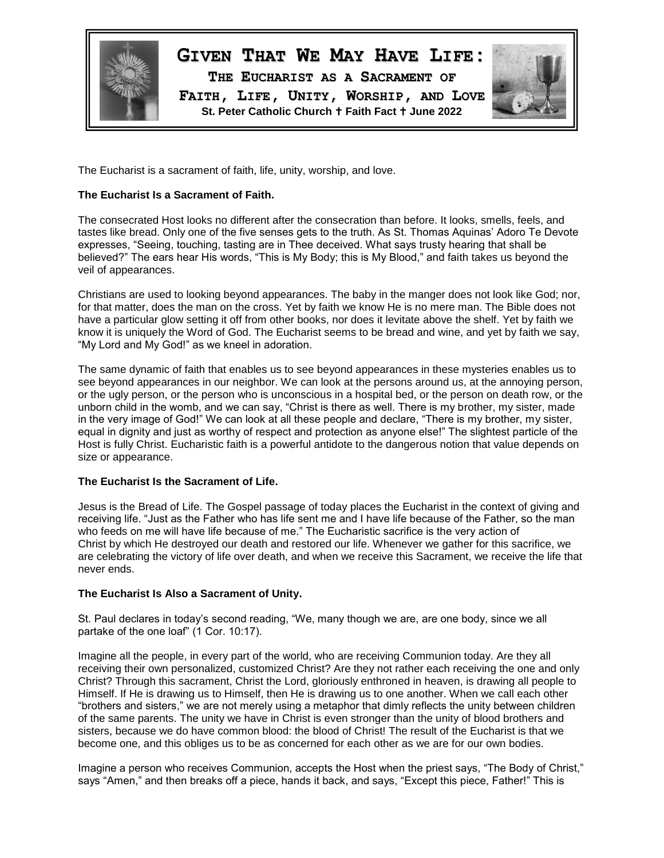

# **GIVEN THAT WE MAY HAVE LIFE:**

**THE EUCHARIST AS A SACRAMENT OF FAITH, LIFE, UNITY, WORSHIP, AND LOVE St. Peter Catholic Church Faith Fact June 2022**



The Eucharist is a sacrament of faith, life, unity, worship, and love.

## **The Eucharist Is a Sacrament of Faith.**

The consecrated Host looks no different after the consecration than before. It looks, smells, feels, and tastes like bread. Only one of the five senses gets to the truth. As St. Thomas Aquinas' Adoro Te Devote expresses, "Seeing, touching, tasting are in Thee deceived. What says trusty hearing that shall be believed?" The ears hear His words, "This is My Body; this is My Blood," and faith takes us beyond the veil of appearances.

Christians are used to looking beyond appearances. The baby in the manger does not look like God; nor, for that matter, does the man on the cross. Yet by faith we know He is no mere man. The Bible does not have a particular glow setting it off from other books, nor does it levitate above the shelf. Yet by faith we know it is uniquely the Word of God. The Eucharist seems to be bread and wine, and yet by faith we say, "My Lord and My God!" as we kneel in adoration.

The same dynamic of faith that enables us to see beyond appearances in these mysteries enables us to see beyond appearances in our neighbor. We can look at the persons around us, at the annoying person, or the ugly person, or the person who is unconscious in a hospital bed, or the person on death row, or the unborn child in the womb, and we can say, "Christ is there as well. There is my brother, my sister, made in the very image of God!" We can look at all these people and declare, "There is my brother, my sister, equal in dignity and just as worthy of respect and protection as anyone else!" The slightest particle of the Host is fully Christ. Eucharistic faith is a powerful antidote to the dangerous notion that value depends on size or appearance.

## **The Eucharist Is the Sacrament of Life.**

Jesus is the Bread of Life. The Gospel passage of today places the Eucharist in the context of giving and receiving life. "Just as the Father who has life sent me and I have life because of the Father, so the man who feeds on me will have life because of me." The Eucharistic sacrifice is the very action of Christ by which He destroyed our death and restored our life. Whenever we gather for this sacrifice, we are celebrating the victory of life over death, and when we receive this Sacrament, we receive the life that never ends.

## **The Eucharist Is Also a Sacrament of Unity.**

St. Paul declares in today's second reading, "We, many though we are, are one body, since we all partake of the one loaf" (1 Cor. 10:17).

Imagine all the people, in every part of the world, who are receiving Communion today. Are they all receiving their own personalized, customized Christ? Are they not rather each receiving the one and only Christ? Through this sacrament, Christ the Lord, gloriously enthroned in heaven, is drawing all people to Himself. If He is drawing us to Himself, then He is drawing us to one another. When we call each other "brothers and sisters," we are not merely using a metaphor that dimly reflects the unity between children of the same parents. The unity we have in Christ is even stronger than the unity of blood brothers and sisters, because we do have common blood: the blood of Christ! The result of the Eucharist is that we become one, and this obliges us to be as concerned for each other as we are for our own bodies.

Imagine a person who receives Communion, accepts the Host when the priest says, "The Body of Christ," says "Amen," and then breaks off a piece, hands it back, and says, "Except this piece, Father!" This is